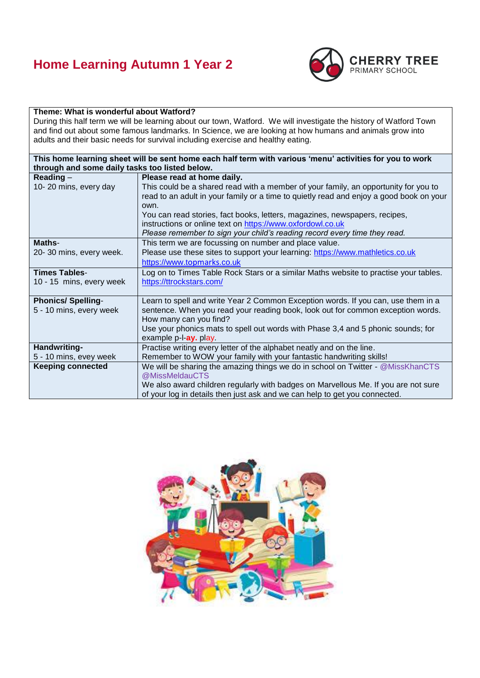## **Home Learning Autumn 1 Year 2**



## **Theme: What is wonderful about Watford?**

During this half term we will be learning about our town, Watford. We will investigate the history of Watford Town and find out about some famous landmarks. In Science, we are looking at how humans and animals grow into adults and their basic needs for survival including exercise and healthy eating.

| This home learning sheet will be sent home each half term with various 'menu' activities for you to work |                                                                                         |
|----------------------------------------------------------------------------------------------------------|-----------------------------------------------------------------------------------------|
| through and some daily tasks too listed below.                                                           |                                                                                         |
| Reading $-$                                                                                              | Please read at home daily.                                                              |
| 10-20 mins, every day                                                                                    | This could be a shared read with a member of your family, an opportunity for you to     |
|                                                                                                          | read to an adult in your family or a time to quietly read and enjoy a good book on your |
|                                                                                                          | own.                                                                                    |
|                                                                                                          | You can read stories, fact books, letters, magazines, newspapers, recipes,              |
|                                                                                                          | instructions or online text on https://www.oxfordowl.co.uk                              |
|                                                                                                          | Please remember to sign your child's reading record every time they read.               |
| Maths-                                                                                                   | This term we are focussing on number and place value.                                   |
| 20-30 mins, every week.                                                                                  | Please use these sites to support your learning: https://www.mathletics.co.uk           |
|                                                                                                          | https://www.topmarks.co.uk                                                              |
| <b>Times Tables-</b>                                                                                     | Log on to Times Table Rock Stars or a similar Maths website to practise your tables.    |
| 10 - 15 mins, every week                                                                                 | https://ttrockstars.com/                                                                |
|                                                                                                          |                                                                                         |
| <b>Phonics/Spelling-</b>                                                                                 | Learn to spell and write Year 2 Common Exception words. If you can, use them in a       |
| 5 - 10 mins, every week                                                                                  | sentence. When you read your reading book, look out for common exception words.         |
|                                                                                                          | How many can you find?                                                                  |
|                                                                                                          | Use your phonics mats to spell out words with Phase 3,4 and 5 phonic sounds; for        |
|                                                                                                          | example p-l-ay. play.                                                                   |
| Handwriting-                                                                                             | Practise writing every letter of the alphabet neatly and on the line.                   |
| 5 - 10 mins, evey week                                                                                   | Remember to WOW your family with your fantastic handwriting skills!                     |
| <b>Keeping connected</b>                                                                                 | We will be sharing the amazing things we do in school on Twitter - @MissKhanCTS         |
|                                                                                                          | @MissMeldauCTS                                                                          |
|                                                                                                          | We also award children regularly with badges on Marvellous Me. If you are not sure      |
|                                                                                                          | of your log in details then just ask and we can help to get you connected.              |